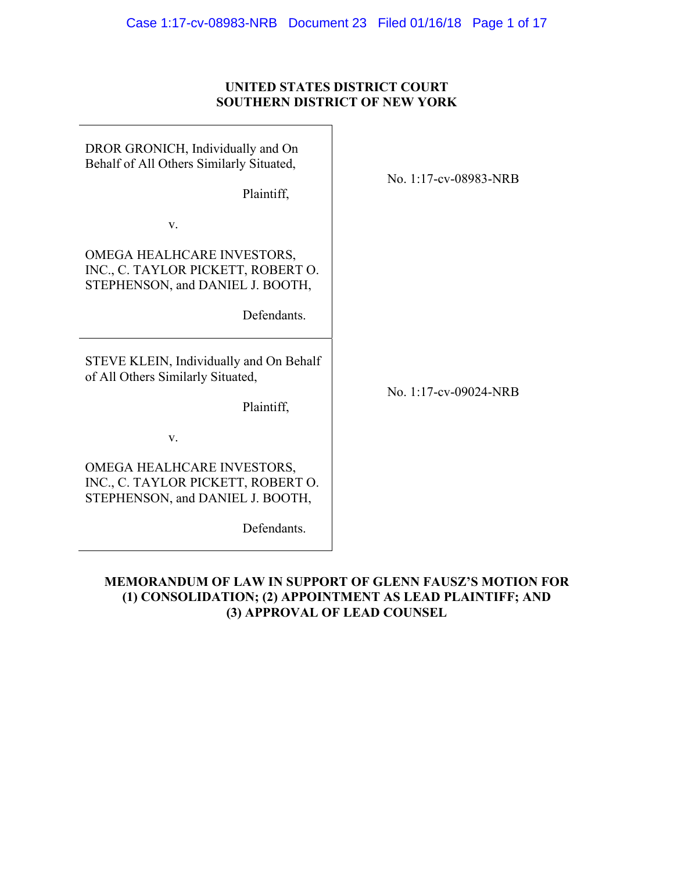## **UNITED STATES DISTRICT COURT SOUTHERN DISTRICT OF NEW YORK**

| DROR GRONICH, Individually and On<br>Behalf of All Others Similarly Situated,<br>Plaintiff,                         | No. 1:17-cv-08983-NRB |
|---------------------------------------------------------------------------------------------------------------------|-----------------------|
| V.                                                                                                                  |                       |
| OMEGA HEALHCARE INVESTORS,<br>INC., C. TAYLOR PICKETT, ROBERT O.<br>STEPHENSON, and DANIEL J. BOOTH,<br>Defendants. |                       |
| STEVE KLEIN, Individually and On Behalf<br>of All Others Similarly Situated,<br>Plaintiff,                          | No. 1:17-cv-09024-NRB |
| V.                                                                                                                  |                       |
| OMEGA HEALHCARE INVESTORS,<br>INC., C. TAYLOR PICKETT, ROBERT O.<br>STEPHENSON, and DANIEL J. BOOTH,                |                       |
| Defendants.                                                                                                         |                       |

## **MEMORANDUM OF LAW IN SUPPORT OF GLENN FAUSZ'S MOTION FOR (1) CONSOLIDATION; (2) APPOINTMENT AS LEAD PLAINTIFF; AND (3) APPROVAL OF LEAD COUNSEL**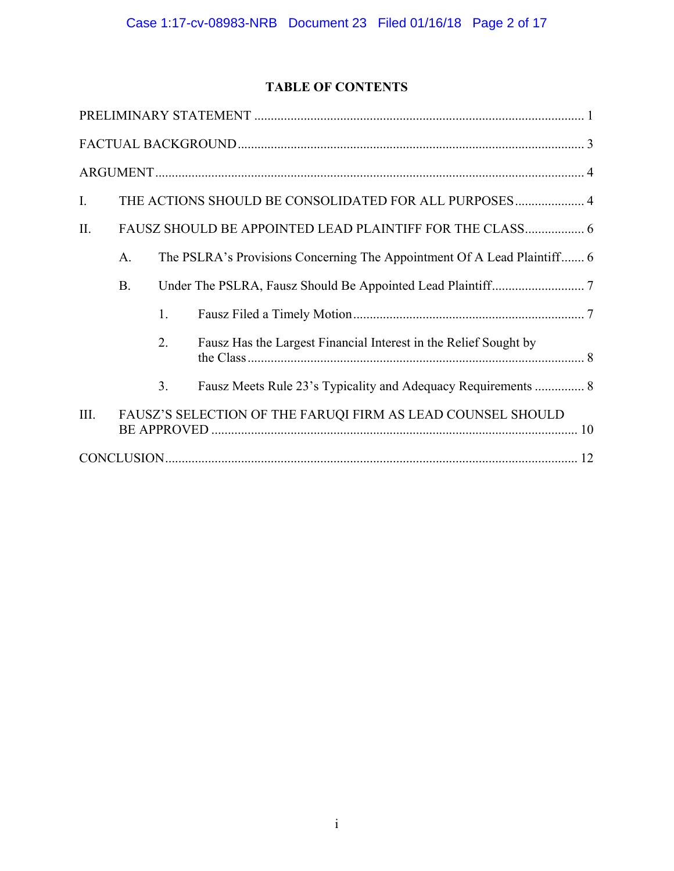## **TABLE OF CONTENTS**

| $\mathbf{I}$ . |                                                          |    | THE ACTIONS SHOULD BE CONSOLIDATED FOR ALL PURPOSES 4                   |  |
|----------------|----------------------------------------------------------|----|-------------------------------------------------------------------------|--|
| II.            | FAUSZ SHOULD BE APPOINTED LEAD PLAINTIFF FOR THE CLASS 6 |    |                                                                         |  |
|                | A.                                                       |    | The PSLRA's Provisions Concerning The Appointment Of A Lead Plaintiff 6 |  |
|                | <b>B.</b>                                                |    |                                                                         |  |
|                |                                                          | 1. |                                                                         |  |
|                |                                                          | 2. | Fausz Has the Largest Financial Interest in the Relief Sought by        |  |
|                |                                                          | 3. | Fausz Meets Rule 23's Typicality and Adequacy Requirements  8           |  |
| III.           |                                                          |    | FAUSZ'S SELECTION OF THE FARUQI FIRM AS LEAD COUNSEL SHOULD             |  |
|                |                                                          |    |                                                                         |  |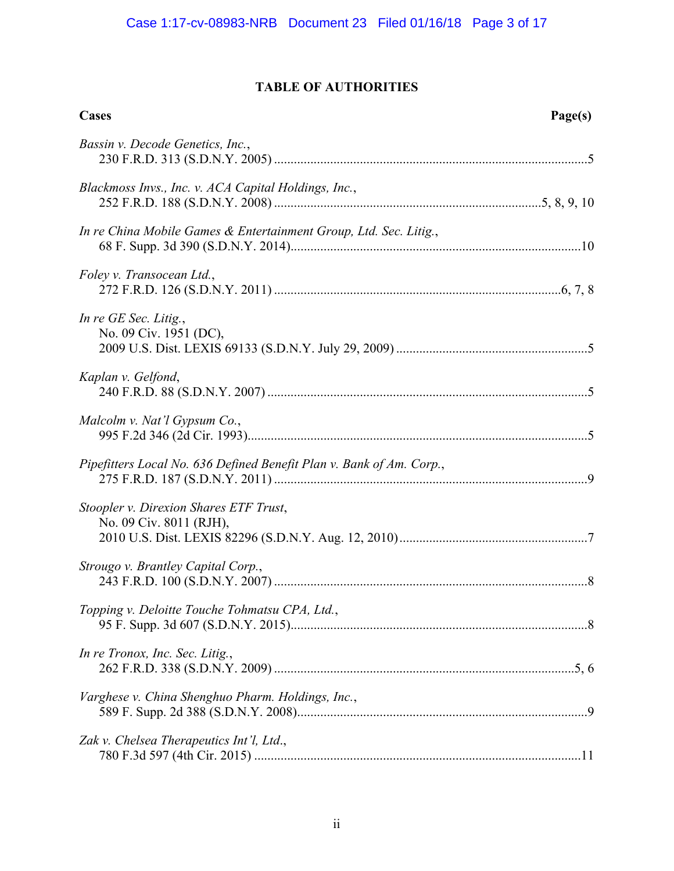## **TABLE OF AUTHORITIES**

| Cases                                                                | Page(s) |
|----------------------------------------------------------------------|---------|
| Bassin v. Decode Genetics, Inc.,                                     |         |
| Blackmoss Invs., Inc. v. ACA Capital Holdings, Inc.,                 |         |
| In re China Mobile Games & Entertainment Group, Ltd. Sec. Litig.,    |         |
| Foley v. Transocean Ltd.,                                            |         |
| In re GE Sec. Litig.,<br>No. 09 Civ. 1951 (DC),                      |         |
| Kaplan v. Gelfond,                                                   |         |
| Malcolm v. Nat'l Gypsum Co.,                                         |         |
| Pipefitters Local No. 636 Defined Benefit Plan v. Bank of Am. Corp., |         |
| Stoopler v. Direxion Shares ETF Trust,<br>No. 09 Civ. 8011 (RJH),    |         |
| Strougo v. Brantley Capital Corp.,                                   |         |
| Topping v. Deloitte Touche Tohmatsu CPA, Ltd.,                       |         |
| In re Tronox, Inc. Sec. Litig.,                                      |         |
| Varghese v. China Shenghuo Pharm. Holdings, Inc.,                    |         |
| Zak v. Chelsea Therapeutics Int'l, Ltd.,                             |         |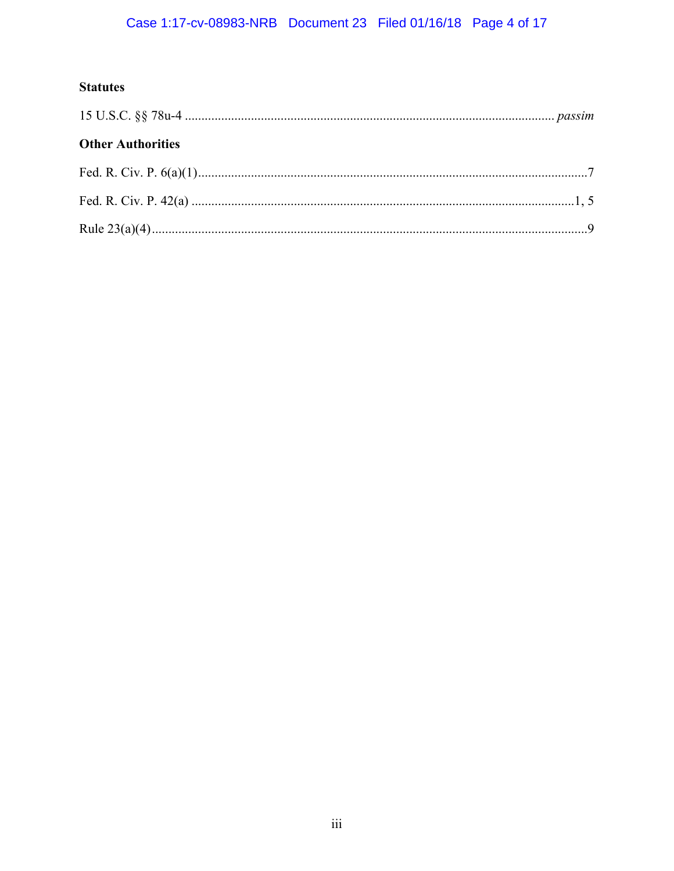# Case 1:17-cv-08983-NRB Document 23 Filed 01/16/18 Page 4 of 17

## **Statutes**

| <b>Other Authorities</b> |  |  |
|--------------------------|--|--|
|                          |  |  |
|                          |  |  |
|                          |  |  |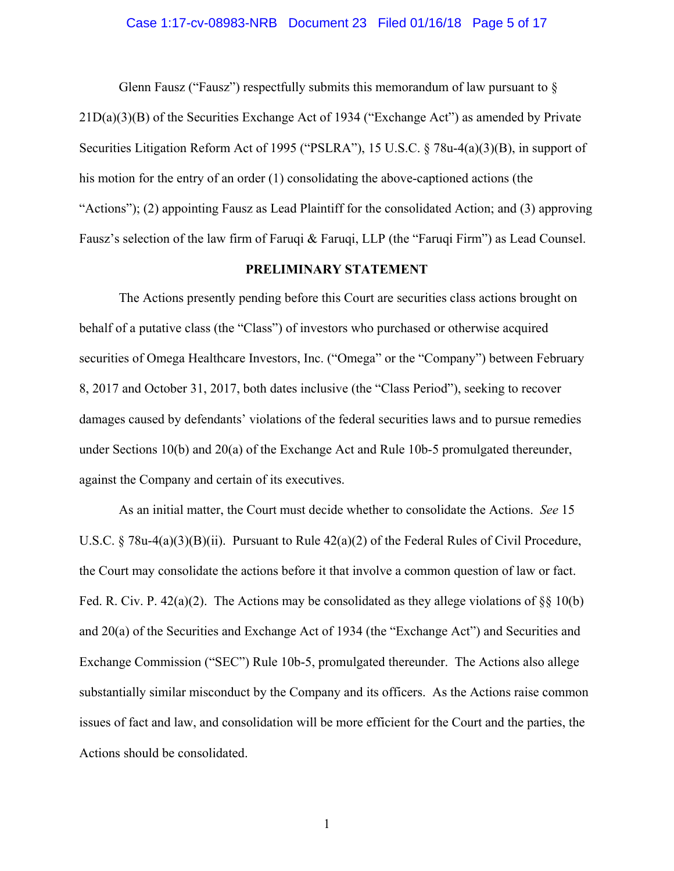#### Case 1:17-cv-08983-NRB Document 23 Filed 01/16/18 Page 5 of 17

Glenn Fausz ("Fausz") respectfully submits this memorandum of law pursuant to  $\S$ 21D(a)(3)(B) of the Securities Exchange Act of 1934 ("Exchange Act") as amended by Private Securities Litigation Reform Act of 1995 ("PSLRA"), 15 U.S.C. § 78u-4(a)(3)(B), in support of his motion for the entry of an order (1) consolidating the above-captioned actions (the "Actions"); (2) appointing Fausz as Lead Plaintiff for the consolidated Action; and (3) approving Fausz's selection of the law firm of Faruqi & Faruqi, LLP (the "Faruqi Firm") as Lead Counsel.

#### **PRELIMINARY STATEMENT**

The Actions presently pending before this Court are securities class actions brought on behalf of a putative class (the "Class") of investors who purchased or otherwise acquired securities of Omega Healthcare Investors, Inc. ("Omega" or the "Company") between February 8, 2017 and October 31, 2017, both dates inclusive (the "Class Period"), seeking to recover damages caused by defendants' violations of the federal securities laws and to pursue remedies under Sections 10(b) and 20(a) of the Exchange Act and Rule 10b-5 promulgated thereunder, against the Company and certain of its executives.

As an initial matter, the Court must decide whether to consolidate the Actions. *See* 15 U.S.C. § 78u-4(a)(3)(B)(ii). Pursuant to Rule 42(a)(2) of the Federal Rules of Civil Procedure, the Court may consolidate the actions before it that involve a common question of law or fact. Fed. R. Civ. P.  $42(a)(2)$ . The Actions may be consolidated as they allege violations of  $\S$  10(b) and 20(a) of the Securities and Exchange Act of 1934 (the "Exchange Act") and Securities and Exchange Commission ("SEC") Rule 10b-5, promulgated thereunder. The Actions also allege substantially similar misconduct by the Company and its officers. As the Actions raise common issues of fact and law, and consolidation will be more efficient for the Court and the parties, the Actions should be consolidated.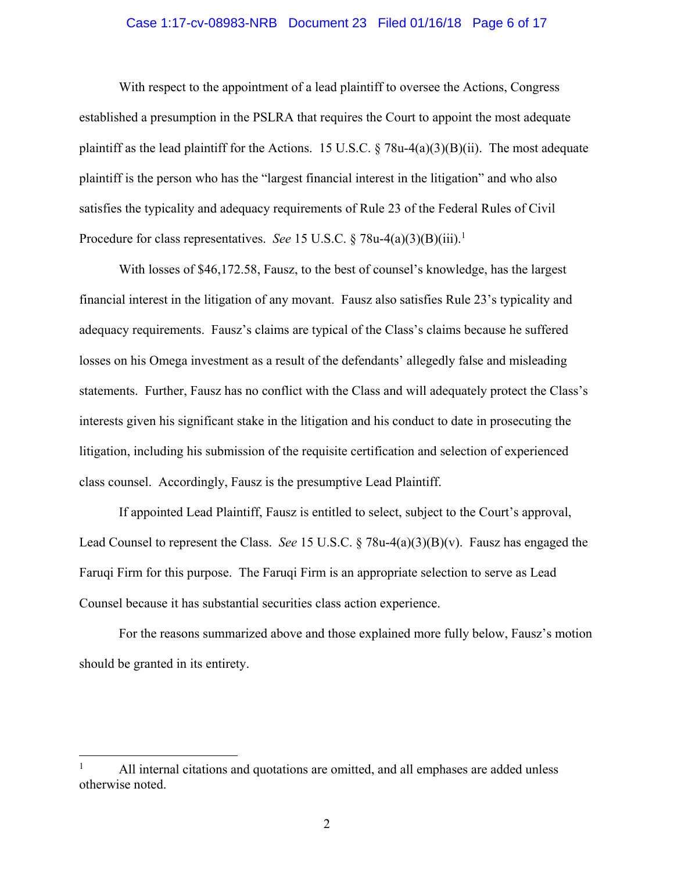#### Case 1:17-cv-08983-NRB Document 23 Filed 01/16/18 Page 6 of 17

With respect to the appointment of a lead plaintiff to oversee the Actions, Congress established a presumption in the PSLRA that requires the Court to appoint the most adequate plaintiff as the lead plaintiff for the Actions. 15 U.S.C.  $\S$  78u-4(a)(3)(B)(ii). The most adequate plaintiff is the person who has the "largest financial interest in the litigation" and who also satisfies the typicality and adequacy requirements of Rule 23 of the Federal Rules of Civil Procedure for class representatives. *See* 15 U.S.C. § 78u-4(a)(3)(B)(iii).<sup>1</sup>

With losses of \$46,172.58, Fausz, to the best of counsel's knowledge, has the largest financial interest in the litigation of any movant. Fausz also satisfies Rule 23's typicality and adequacy requirements. Fausz's claims are typical of the Class's claims because he suffered losses on his Omega investment as a result of the defendants' allegedly false and misleading statements. Further, Fausz has no conflict with the Class and will adequately protect the Class's interests given his significant stake in the litigation and his conduct to date in prosecuting the litigation, including his submission of the requisite certification and selection of experienced class counsel. Accordingly, Fausz is the presumptive Lead Plaintiff.

If appointed Lead Plaintiff, Fausz is entitled to select, subject to the Court's approval, Lead Counsel to represent the Class. *See* 15 U.S.C. § 78u-4(a)(3)(B)(v). Fausz has engaged the Faruqi Firm for this purpose. The Faruqi Firm is an appropriate selection to serve as Lead Counsel because it has substantial securities class action experience.

For the reasons summarized above and those explained more fully below, Fausz's motion should be granted in its entirety.

 $\overline{a}$ 

<sup>1</sup> All internal citations and quotations are omitted, and all emphases are added unless otherwise noted.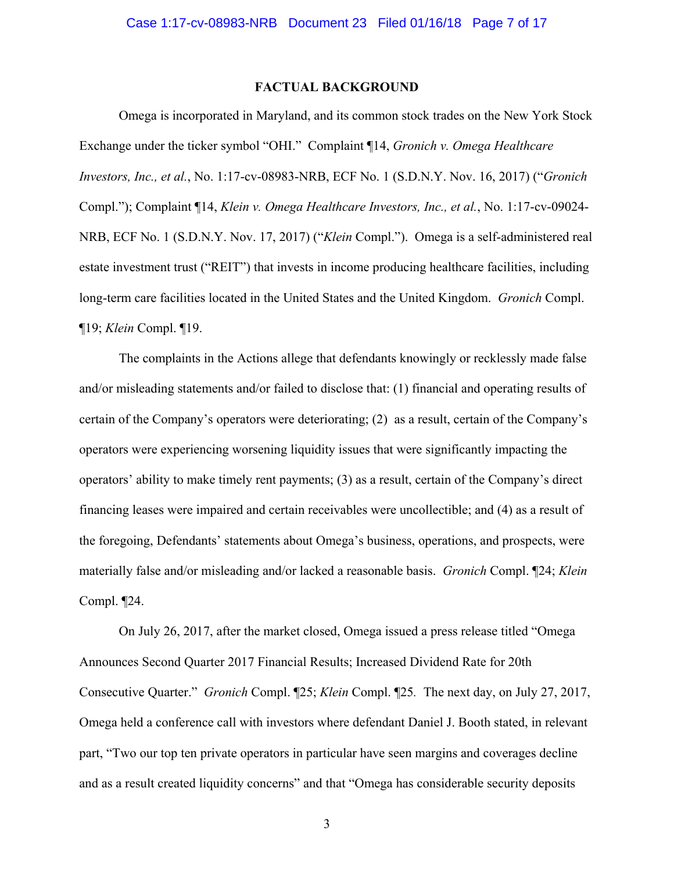### **FACTUAL BACKGROUND**

Omega is incorporated in Maryland, and its common stock trades on the New York Stock Exchange under the ticker symbol "OHI." Complaint ¶14, *Gronich v. Omega Healthcare Investors, Inc., et al.*, No. 1:17-cv-08983-NRB, ECF No. 1 (S.D.N.Y. Nov. 16, 2017) ("*Gronich* Compl."); Complaint ¶14, *Klein v. Omega Healthcare Investors, Inc., et al.*, No. 1:17-cv-09024- NRB, ECF No. 1 (S.D.N.Y. Nov. 17, 2017) ("*Klein* Compl."). Omega is a self-administered real estate investment trust ("REIT") that invests in income producing healthcare facilities, including long-term care facilities located in the United States and the United Kingdom. *Gronich* Compl. ¶19; *Klein* Compl. ¶19.

The complaints in the Actions allege that defendants knowingly or recklessly made false and/or misleading statements and/or failed to disclose that: (1) financial and operating results of certain of the Company's operators were deteriorating; (2) as a result, certain of the Company's operators were experiencing worsening liquidity issues that were significantly impacting the operators' ability to make timely rent payments; (3) as a result, certain of the Company's direct financing leases were impaired and certain receivables were uncollectible; and (4) as a result of the foregoing, Defendants' statements about Omega's business, operations, and prospects, were materially false and/or misleading and/or lacked a reasonable basis. *Gronich* Compl. ¶24; *Klein* Compl. ¶24.

On July 26, 2017, after the market closed, Omega issued a press release titled "Omega Announces Second Quarter 2017 Financial Results; Increased Dividend Rate for 20th Consecutive Quarter." *Gronich* Compl. ¶25; *Klein* Compl. ¶25*.* The next day, on July 27, 2017, Omega held a conference call with investors where defendant Daniel J. Booth stated, in relevant part, "Two our top ten private operators in particular have seen margins and coverages decline and as a result created liquidity concerns" and that "Omega has considerable security deposits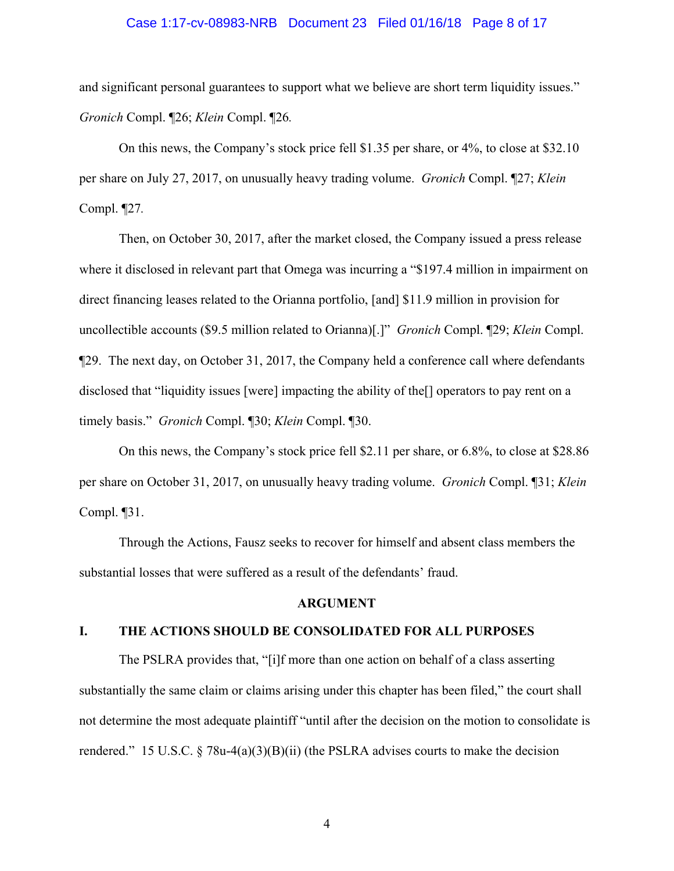#### Case 1:17-cv-08983-NRB Document 23 Filed 01/16/18 Page 8 of 17

and significant personal guarantees to support what we believe are short term liquidity issues." *Gronich* Compl. ¶26; *Klein* Compl. ¶26*.*

On this news, the Company's stock price fell \$1.35 per share, or 4%, to close at \$32.10 per share on July 27, 2017, on unusually heavy trading volume. *Gronich* Compl. ¶27; *Klein* Compl. ¶27*.*

Then, on October 30, 2017, after the market closed, the Company issued a press release where it disclosed in relevant part that Omega was incurring a "\$197.4 million in impairment on direct financing leases related to the Orianna portfolio, [and] \$11.9 million in provision for uncollectible accounts (\$9.5 million related to Orianna)[.]" *Gronich* Compl. ¶29; *Klein* Compl. ¶29. The next day, on October 31, 2017, the Company held a conference call where defendants disclosed that "liquidity issues [were] impacting the ability of the[] operators to pay rent on a timely basis." *Gronich* Compl. ¶30; *Klein* Compl. ¶30.

On this news, the Company's stock price fell \$2.11 per share, or 6.8%, to close at \$28.86 per share on October 31, 2017, on unusually heavy trading volume. *Gronich* Compl. ¶31; *Klein* Compl. ¶31.

Through the Actions, Fausz seeks to recover for himself and absent class members the substantial losses that were suffered as a result of the defendants' fraud.

#### **ARGUMENT**

#### **I. THE ACTIONS SHOULD BE CONSOLIDATED FOR ALL PURPOSES**

The PSLRA provides that, "[i]f more than one action on behalf of a class asserting substantially the same claim or claims arising under this chapter has been filed," the court shall not determine the most adequate plaintiff "until after the decision on the motion to consolidate is rendered." 15 U.S.C.  $\S$  78u-4(a)(3)(B)(ii) (the PSLRA advises courts to make the decision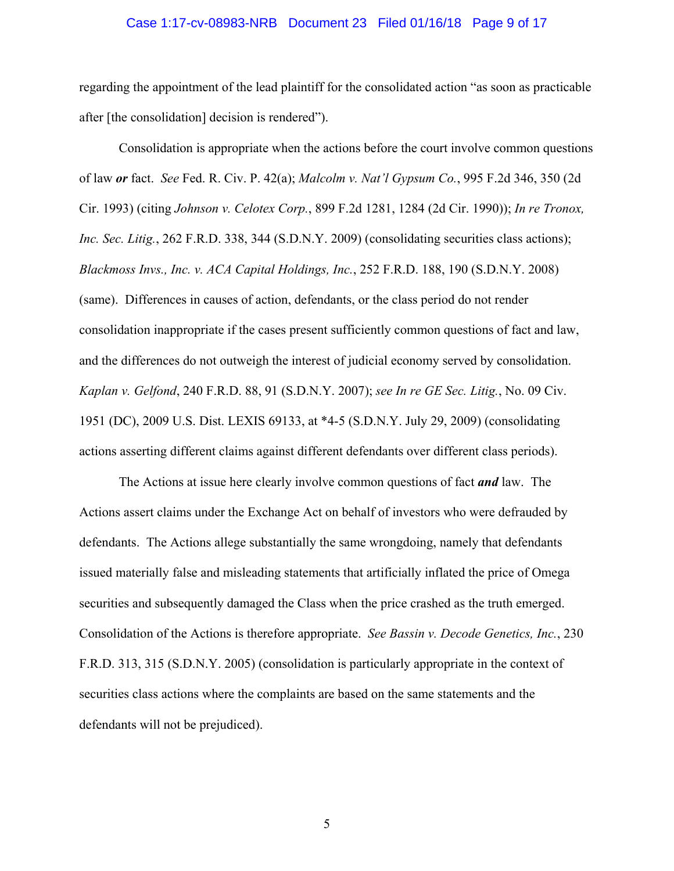#### Case 1:17-cv-08983-NRB Document 23 Filed 01/16/18 Page 9 of 17

regarding the appointment of the lead plaintiff for the consolidated action "as soon as practicable after [the consolidation] decision is rendered").

Consolidation is appropriate when the actions before the court involve common questions of law *or* fact. *See* Fed. R. Civ. P. 42(a); *Malcolm v. Nat'l Gypsum Co.*, 995 F.2d 346, 350 (2d Cir. 1993) (citing *Johnson v. Celotex Corp.*, 899 F.2d 1281, 1284 (2d Cir. 1990)); *In re Tronox, Inc. Sec. Litig.*, 262 F.R.D. 338, 344 (S.D.N.Y. 2009) (consolidating securities class actions); *Blackmoss Invs., Inc. v. ACA Capital Holdings, Inc.*, 252 F.R.D. 188, 190 (S.D.N.Y. 2008) (same). Differences in causes of action, defendants, or the class period do not render consolidation inappropriate if the cases present sufficiently common questions of fact and law, and the differences do not outweigh the interest of judicial economy served by consolidation. *Kaplan v. Gelfond*, 240 F.R.D. 88, 91 (S.D.N.Y. 2007); *see In re GE Sec. Litig.*, No. 09 Civ. 1951 (DC), 2009 U.S. Dist. LEXIS 69133, at \*4-5 (S.D.N.Y. July 29, 2009) (consolidating actions asserting different claims against different defendants over different class periods).

The Actions at issue here clearly involve common questions of fact *and* law. The Actions assert claims under the Exchange Act on behalf of investors who were defrauded by defendants. The Actions allege substantially the same wrongdoing, namely that defendants issued materially false and misleading statements that artificially inflated the price of Omega securities and subsequently damaged the Class when the price crashed as the truth emerged. Consolidation of the Actions is therefore appropriate. *See Bassin v. Decode Genetics, Inc.*, 230 F.R.D. 313, 315 (S.D.N.Y. 2005) (consolidation is particularly appropriate in the context of securities class actions where the complaints are based on the same statements and the defendants will not be prejudiced).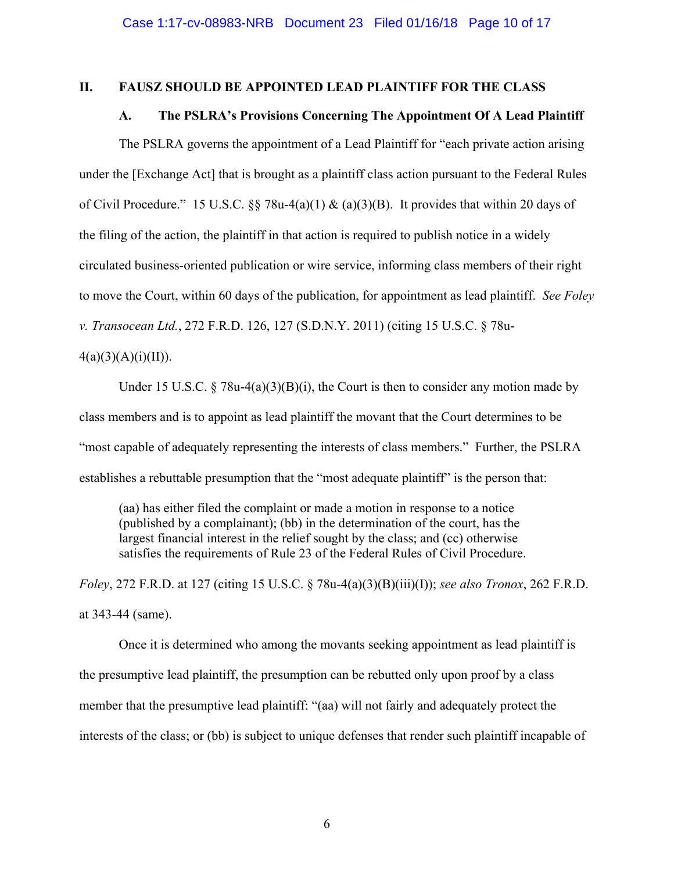#### **II. FAUSZ SHOULD BE APPOINTED LEAD PLAINTIFF FOR THE CLASS**

#### **A. The PSLRA's Provisions Concerning The Appointment Of A Lead Plaintiff**

The PSLRA governs the appointment of a Lead Plaintiff for "each private action arising under the [Exchange Act] that is brought as a plaintiff class action pursuant to the Federal Rules of Civil Procedure." 15 U.S.C. §§ 78u-4(a)(1) & (a)(3)(B). It provides that within 20 days of the filing of the action, the plaintiff in that action is required to publish notice in a widely circulated business-oriented publication or wire service, informing class members of their right to move the Court, within 60 days of the publication, for appointment as lead plaintiff. *See Foley v. Transocean Ltd.*, 272 F.R.D. 126, 127 (S.D.N.Y. 2011) (citing 15 U.S.C. § 78u-

## $4(a)(3)(A)(i)(II)).$

Under 15 U.S.C. § 78u-4(a)(3)(B)(i), the Court is then to consider any motion made by class members and is to appoint as lead plaintiff the movant that the Court determines to be "most capable of adequately representing the interests of class members." Further, the PSLRA establishes a rebuttable presumption that the "most adequate plaintiff" is the person that:

(aa) has either filed the complaint or made a motion in response to a notice (published by a complainant); (bb) in the determination of the court, has the largest financial interest in the relief sought by the class; and (cc) otherwise satisfies the requirements of Rule 23 of the Federal Rules of Civil Procedure.

*Foley*, 272 F.R.D. at 127 (citing 15 U.S.C. § 78u-4(a)(3)(B)(iii)(I)); *see also Tronox*, 262 F.R.D. at 343-44 (same).

Once it is determined who among the movants seeking appointment as lead plaintiff is the presumptive lead plaintiff, the presumption can be rebutted only upon proof by a class member that the presumptive lead plaintiff: "(aa) will not fairly and adequately protect the interests of the class; or (bb) is subject to unique defenses that render such plaintiff incapable of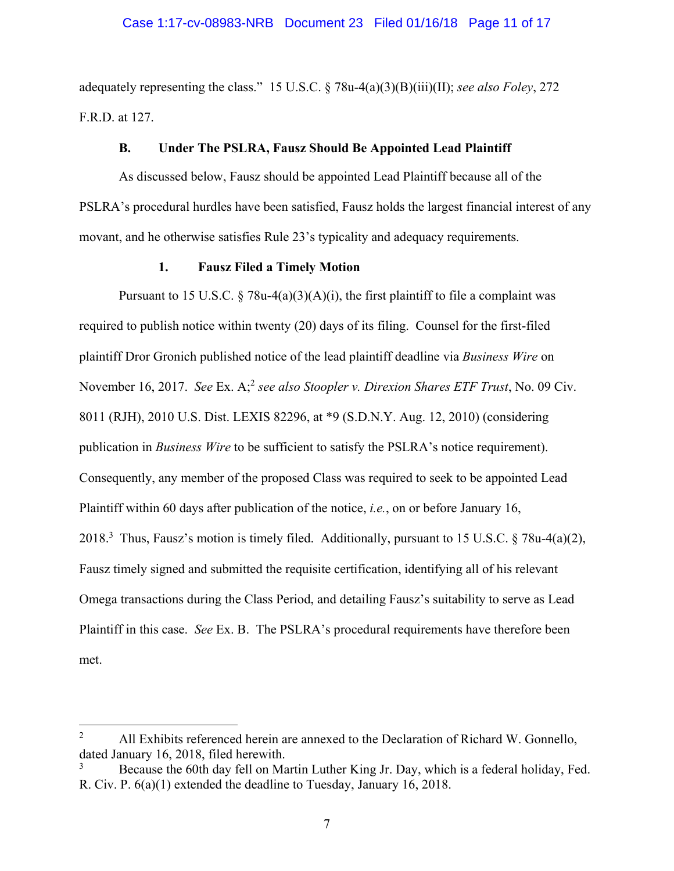#### Case 1:17-cv-08983-NRB Document 23 Filed 01/16/18 Page 11 of 17

adequately representing the class." 15 U.S.C. § 78u-4(a)(3)(B)(iii)(II); *see also Foley*, 272 F.R.D. at 127.

#### **B. Under The PSLRA, Fausz Should Be Appointed Lead Plaintiff**

As discussed below, Fausz should be appointed Lead Plaintiff because all of the PSLRA's procedural hurdles have been satisfied, Fausz holds the largest financial interest of any movant, and he otherwise satisfies Rule 23's typicality and adequacy requirements.

## **1. Fausz Filed a Timely Motion**

Pursuant to 15 U.S.C. § 78u-4(a)(3)(A)(i), the first plaintiff to file a complaint was required to publish notice within twenty (20) days of its filing. Counsel for the first-filed plaintiff Dror Gronich published notice of the lead plaintiff deadline via *Business Wire* on November 16, 2017. *See Ex. A*;<sup>2</sup> *see also Stoopler v. Direxion Shares ETF Trust*, No. 09 Civ. 8011 (RJH), 2010 U.S. Dist. LEXIS 82296, at \*9 (S.D.N.Y. Aug. 12, 2010) (considering publication in *Business Wire* to be sufficient to satisfy the PSLRA's notice requirement). Consequently, any member of the proposed Class was required to seek to be appointed Lead Plaintiff within 60 days after publication of the notice, *i.e.*, on or before January 16, 2018.<sup>3</sup> Thus, Fausz's motion is timely filed. Additionally, pursuant to 15 U.S.C. § 78u-4(a)(2), Fausz timely signed and submitted the requisite certification, identifying all of his relevant Omega transactions during the Class Period, and detailing Fausz's suitability to serve as Lead Plaintiff in this case. *See* Ex. B. The PSLRA's procedural requirements have therefore been met.

 $\overline{a}$ 

<sup>2</sup> All Exhibits referenced herein are annexed to the Declaration of Richard W. Gonnello, dated January 16, 2018, filed herewith.

<sup>3</sup> Because the 60th day fell on Martin Luther King Jr. Day, which is a federal holiday, Fed. R. Civ. P. 6(a)(1) extended the deadline to Tuesday, January 16, 2018.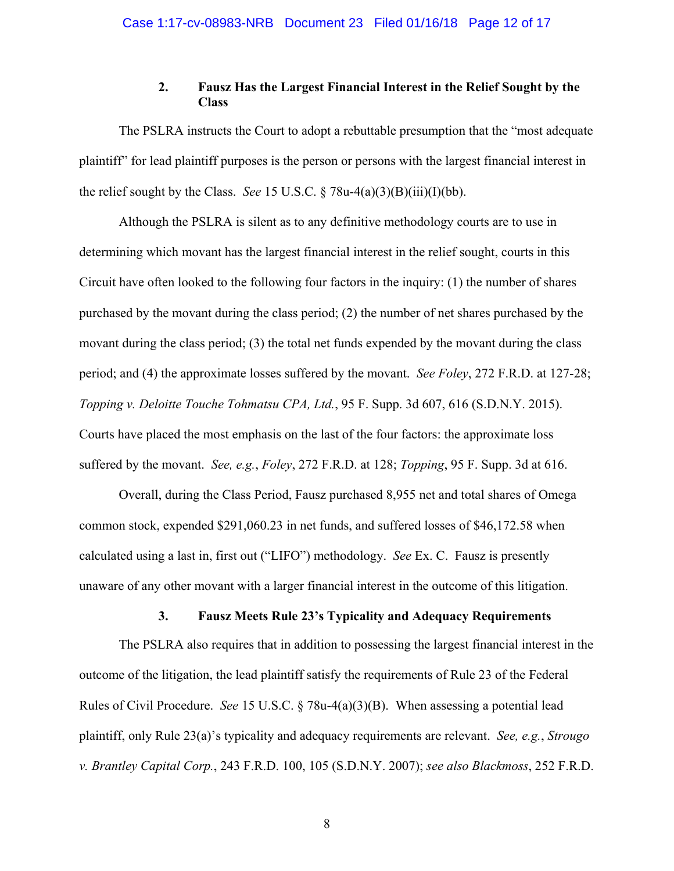## **2. Fausz Has the Largest Financial Interest in the Relief Sought by the Class**

The PSLRA instructs the Court to adopt a rebuttable presumption that the "most adequate plaintiff" for lead plaintiff purposes is the person or persons with the largest financial interest in the relief sought by the Class. *See* 15 U.S.C. § 78u-4(a)(3)(B)(iii)(I)(bb).

Although the PSLRA is silent as to any definitive methodology courts are to use in determining which movant has the largest financial interest in the relief sought, courts in this Circuit have often looked to the following four factors in the inquiry: (1) the number of shares purchased by the movant during the class period; (2) the number of net shares purchased by the movant during the class period; (3) the total net funds expended by the movant during the class period; and (4) the approximate losses suffered by the movant. *See Foley*, 272 F.R.D. at 127-28; *Topping v. Deloitte Touche Tohmatsu CPA, Ltd.*, 95 F. Supp. 3d 607, 616 (S.D.N.Y. 2015). Courts have placed the most emphasis on the last of the four factors: the approximate loss suffered by the movant. *See, e.g.*, *Foley*, 272 F.R.D. at 128; *Topping*, 95 F. Supp. 3d at 616.

Overall, during the Class Period, Fausz purchased 8,955 net and total shares of Omega common stock, expended \$291,060.23 in net funds, and suffered losses of \$46,172.58 when calculated using a last in, first out ("LIFO") methodology. *See* Ex. C. Fausz is presently unaware of any other movant with a larger financial interest in the outcome of this litigation.

### **3. Fausz Meets Rule 23's Typicality and Adequacy Requirements**

The PSLRA also requires that in addition to possessing the largest financial interest in the outcome of the litigation, the lead plaintiff satisfy the requirements of Rule 23 of the Federal Rules of Civil Procedure. *See* 15 U.S.C. § 78u-4(a)(3)(B). When assessing a potential lead plaintiff, only Rule 23(a)'s typicality and adequacy requirements are relevant. *See, e.g.*, *Strougo v. Brantley Capital Corp.*, 243 F.R.D. 100, 105 (S.D.N.Y. 2007); *see also Blackmoss*, 252 F.R.D.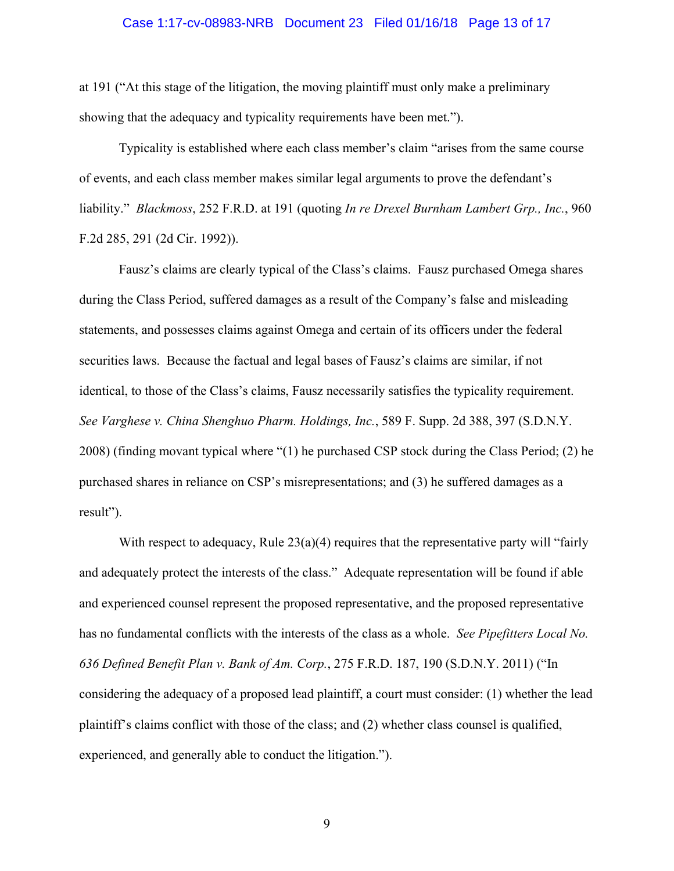#### Case 1:17-cv-08983-NRB Document 23 Filed 01/16/18 Page 13 of 17

at 191 ("At this stage of the litigation, the moving plaintiff must only make a preliminary showing that the adequacy and typicality requirements have been met.").

Typicality is established where each class member's claim "arises from the same course of events, and each class member makes similar legal arguments to prove the defendant's liability." *Blackmoss*, 252 F.R.D. at 191 (quoting *In re Drexel Burnham Lambert Grp., Inc.*, 960 F.2d 285, 291 (2d Cir. 1992)).

Fausz's claims are clearly typical of the Class's claims. Fausz purchased Omega shares during the Class Period, suffered damages as a result of the Company's false and misleading statements, and possesses claims against Omega and certain of its officers under the federal securities laws. Because the factual and legal bases of Fausz's claims are similar, if not identical, to those of the Class's claims, Fausz necessarily satisfies the typicality requirement. *See Varghese v. China Shenghuo Pharm. Holdings, Inc.*, 589 F. Supp. 2d 388, 397 (S.D.N.Y. 2008) (finding movant typical where "(1) he purchased CSP stock during the Class Period; (2) he purchased shares in reliance on CSP's misrepresentations; and (3) he suffered damages as a result").

With respect to adequacy, Rule  $23(a)(4)$  requires that the representative party will "fairly" and adequately protect the interests of the class." Adequate representation will be found if able and experienced counsel represent the proposed representative, and the proposed representative has no fundamental conflicts with the interests of the class as a whole. *See Pipefitters Local No. 636 Defined Benefit Plan v. Bank of Am. Corp.*, 275 F.R.D. 187, 190 (S.D.N.Y. 2011) ("In considering the adequacy of a proposed lead plaintiff, a court must consider: (1) whether the lead plaintiff's claims conflict with those of the class; and (2) whether class counsel is qualified, experienced, and generally able to conduct the litigation.").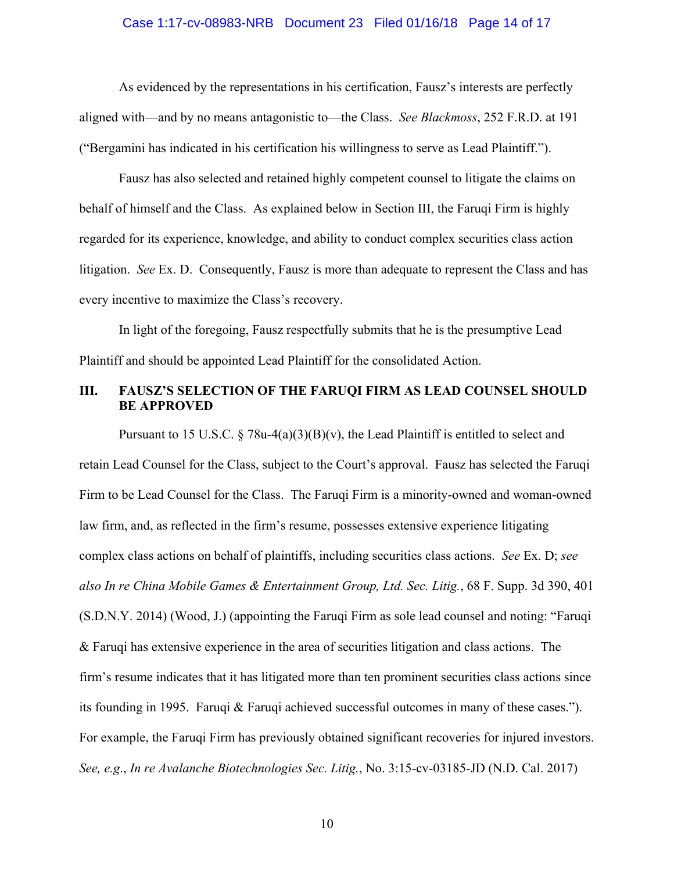#### Case 1:17-cv-08983-NRB Document 23 Filed 01/16/18 Page 14 of 17

As evidenced by the representations in his certification, Fausz's interests are perfectly aligned with—and by no means antagonistic to—the Class. *See Blackmoss*, 252 F.R.D. at 191 ("Bergamini has indicated in his certification his willingness to serve as Lead Plaintiff.").

Fausz has also selected and retained highly competent counsel to litigate the claims on behalf of himself and the Class. As explained below in Section III, the Faruqi Firm is highly regarded for its experience, knowledge, and ability to conduct complex securities class action litigation. *See* Ex. D. Consequently, Fausz is more than adequate to represent the Class and has every incentive to maximize the Class's recovery.

In light of the foregoing, Fausz respectfully submits that he is the presumptive Lead Plaintiff and should be appointed Lead Plaintiff for the consolidated Action.

### **III. FAUSZ'S SELECTION OF THE FARUQI FIRM AS LEAD COUNSEL SHOULD BE APPROVED**

Pursuant to 15 U.S.C.  $\S 78u-4(a)(3)(B)(v)$ , the Lead Plaintiff is entitled to select and retain Lead Counsel for the Class, subject to the Court's approval. Fausz has selected the Faruqi Firm to be Lead Counsel for the Class. The Faruqi Firm is a minority-owned and woman-owned law firm, and, as reflected in the firm's resume, possesses extensive experience litigating complex class actions on behalf of plaintiffs, including securities class actions. *See* Ex. D; *see also In re China Mobile Games & Entertainment Group, Ltd. Sec. Litig.*, 68 F. Supp. 3d 390, 401 (S.D.N.Y. 2014) (Wood, J.) (appointing the Faruqi Firm as sole lead counsel and noting: "Faruqi & Faruqi has extensive experience in the area of securities litigation and class actions. The firm's resume indicates that it has litigated more than ten prominent securities class actions since its founding in 1995. Faruqi & Faruqi achieved successful outcomes in many of these cases."). For example, the Faruqi Firm has previously obtained significant recoveries for injured investors. *See, e.g*., *In re Avalanche Biotechnologies Sec. Litig.*, No. 3:15-cv-03185-JD (N.D. Cal. 2017)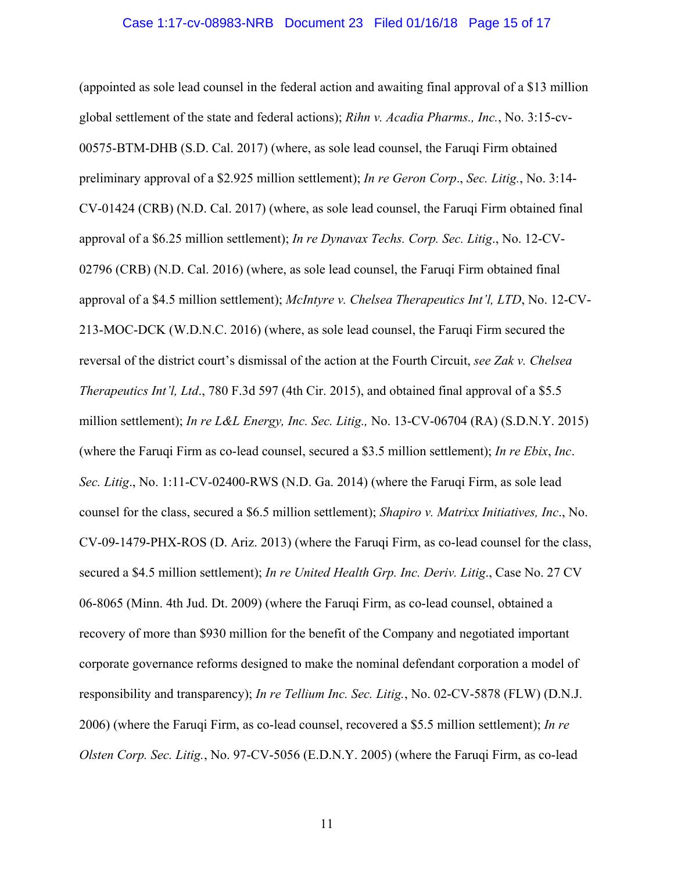#### Case 1:17-cv-08983-NRB Document 23 Filed 01/16/18 Page 15 of 17

(appointed as sole lead counsel in the federal action and awaiting final approval of a \$13 million global settlement of the state and federal actions); *Rihn v. Acadia Pharms., Inc.*, No. 3:15-cv-00575-BTM-DHB (S.D. Cal. 2017) (where, as sole lead counsel, the Faruqi Firm obtained preliminary approval of a \$2.925 million settlement); *In re Geron Corp*., *Sec. Litig.*, No. 3:14- CV-01424 (CRB) (N.D. Cal. 2017) (where, as sole lead counsel, the Faruqi Firm obtained final approval of a \$6.25 million settlement); *In re Dynavax Techs. Corp. Sec. Litig*., No. 12-CV-02796 (CRB) (N.D. Cal. 2016) (where, as sole lead counsel, the Faruqi Firm obtained final approval of a \$4.5 million settlement); *McIntyre v. Chelsea Therapeutics Int'l, LTD*, No. 12-CV-213-MOC-DCK (W.D.N.C. 2016) (where, as sole lead counsel, the Faruqi Firm secured the reversal of the district court's dismissal of the action at the Fourth Circuit, *see Zak v. Chelsea Therapeutics Int'l, Ltd., 780 F.3d 597 (4th Cir. 2015), and obtained final approval of a \$5.5* million settlement); *In re L&L Energy, Inc. Sec. Litig.,* No. 13-CV-06704 (RA) (S.D.N.Y. 2015) (where the Faruqi Firm as co-lead counsel, secured a \$3.5 million settlement); *In re Ebix*, *Inc*. *Sec. Litig*., No. 1:11-CV-02400-RWS (N.D. Ga. 2014) (where the Faruqi Firm, as sole lead counsel for the class, secured a \$6.5 million settlement); *Shapiro v. Matrixx Initiatives, Inc*., No. CV-09-1479-PHX-ROS (D. Ariz. 2013) (where the Faruqi Firm, as co-lead counsel for the class, secured a \$4.5 million settlement); *In re United Health Grp. Inc. Deriv. Litig*., Case No. 27 CV 06-8065 (Minn. 4th Jud. Dt. 2009) (where the Faruqi Firm, as co-lead counsel, obtained a recovery of more than \$930 million for the benefit of the Company and negotiated important corporate governance reforms designed to make the nominal defendant corporation a model of responsibility and transparency); *In re Tellium Inc. Sec. Litig.*, No. 02-CV-5878 (FLW) (D.N.J. 2006) (where the Faruqi Firm, as co-lead counsel, recovered a \$5.5 million settlement); *In re Olsten Corp. Sec. Litig.*, No. 97-CV-5056 (E.D.N.Y. 2005) (where the Faruqi Firm, as co-lead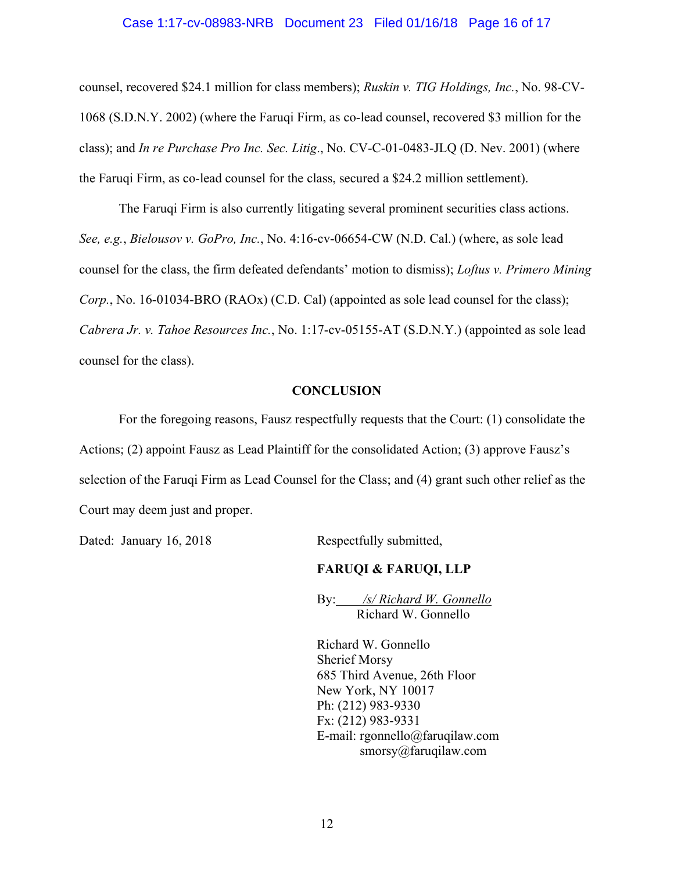#### Case 1:17-cv-08983-NRB Document 23 Filed 01/16/18 Page 16 of 17

counsel, recovered \$24.1 million for class members); *Ruskin v. TIG Holdings, Inc.*, No. 98-CV-1068 (S.D.N.Y. 2002) (where the Faruqi Firm, as co-lead counsel, recovered \$3 million for the class); and *In re Purchase Pro Inc. Sec. Litig*., No. CV-C-01-0483-JLQ (D. Nev. 2001) (where the Faruqi Firm, as co-lead counsel for the class, secured a \$24.2 million settlement).

The Faruqi Firm is also currently litigating several prominent securities class actions. *See, e.g.*, *Bielousov v. GoPro, Inc.*, No. 4:16-cv-06654-CW (N.D. Cal.) (where, as sole lead counsel for the class, the firm defeated defendants' motion to dismiss); *Loftus v. Primero Mining Corp.*, No. 16-01034-BRO (RAOx) (C.D. Cal) (appointed as sole lead counsel for the class); *Cabrera Jr. v. Tahoe Resources Inc.*, No. 1:17-cv-05155-AT (S.D.N.Y.) (appointed as sole lead counsel for the class).

#### **CONCLUSION**

For the foregoing reasons, Fausz respectfully requests that the Court: (1) consolidate the Actions; (2) appoint Fausz as Lead Plaintiff for the consolidated Action; (3) approve Fausz's selection of the Faruqi Firm as Lead Counsel for the Class; and (4) grant such other relief as the Court may deem just and proper.

Dated: January 16, 2018 Respectfully submitted,

#### **FARUQI & FARUQI, LLP**

By: */s/ Richard W. Gonnello* Richard W. Gonnello

Richard W. Gonnello Sherief Morsy 685 Third Avenue, 26th Floor New York, NY 10017 Ph: (212) 983-9330 Fx: (212) 983-9331 E-mail: rgonnello@faruqilaw.com smorsy@faruqilaw.com